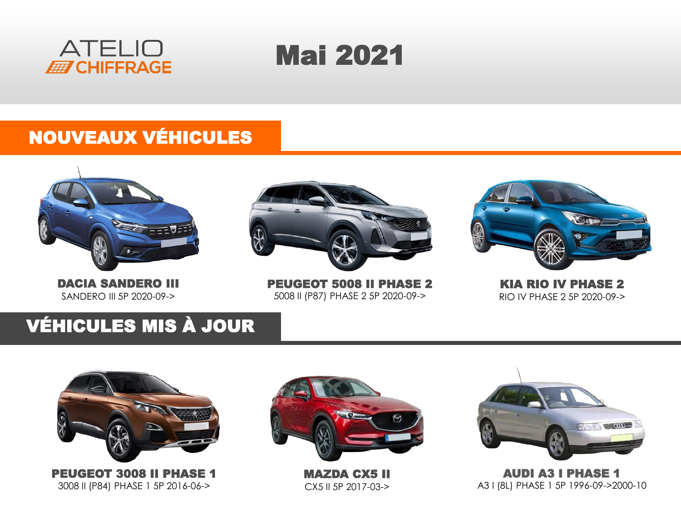



### NOUVEAUX VÉHICULES



DACIA SANDERO III SANDERO III 5P 2020-09->



PEUGEOT 5008 II PHASE 2 5008 II (P87) PHASE 2 5P 2020-09->



KIA RIO IV PHASE 2 RIO IV PHASE 2 5P 2020-09->

### VÉHICULES MIS À JOUR



PEUGEOT 3008 II PHASE 1 3008 II (P84) PHASE 1 5P 2016-06->



MAZDA CX5 II CX5 II 5P 2017-03->



AUDI A3 I PHASE 1 A3 I (8L) PHASE 1 5P 1996-09->2000-10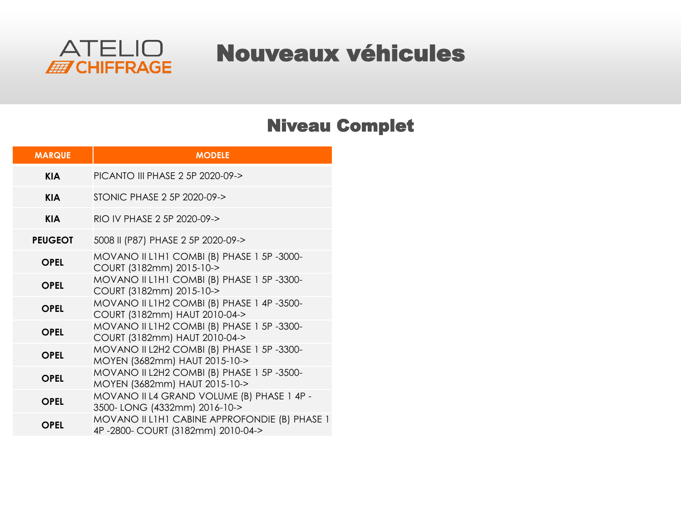

### Nouveaux véhicules

#### Niveau Complet

| <b>MARQUE</b>  | <b>MODELE</b>                                                                      |
|----------------|------------------------------------------------------------------------------------|
| <b>KIA</b>     | PICANTO III PHASE 2 5P 2020-09->                                                   |
| <b>KIA</b>     | STONIC PHASE 2 5P 2020-09->                                                        |
| <b>KIA</b>     | RIO IV PHASE 2 5P 2020-09->                                                        |
| <b>PEUGEOT</b> | 5008 II (P87) PHASE 2 5P 2020-09->                                                 |
| OPEL           | MOVANO II LIHI COMBI (B) PHASE 1 5P-3000-<br>COURT (3182mm) 2015-10->              |
| <b>OPEL</b>    | MOVANO II LIHI COMBI (B) PHASE 1 5P-3300-<br>COURT (3182mm) 2015-10->              |
| <b>OPEL</b>    | MOVANO II L1H2 COMBI (B) PHASE 1 4P-3500-<br>COURT (3182mm) HAUT 2010-04->         |
| <b>OPEL</b>    | MOVANO II L1H2 COMBI (B) PHASE 1 5P-3300-<br>COURT (3182mm) HAUT 2010-04->         |
| <b>OPEL</b>    | MOVANO II L2H2 COMBI (B) PHASE 1 5P-3300-<br>MOYEN (3682mm) HAUT 2015-10->         |
| <b>OPEL</b>    | MOVANO II L2H2 COMBI (B) PHASE 1 5P-3500-<br>MOYEN (3682mm) HAUT 2015-10->         |
| <b>OPEL</b>    | MOVANO II L4 GRAND VOLUME (B) PHASE 1 4P -<br>3500-LONG (4332mm) 2016-10->         |
| <b>OPEL</b>    | MOVANO II LIHI CABINE APPROFONDIE (B) PHASE 1<br>4P-2800- COURT (3182mm) 2010-04-> |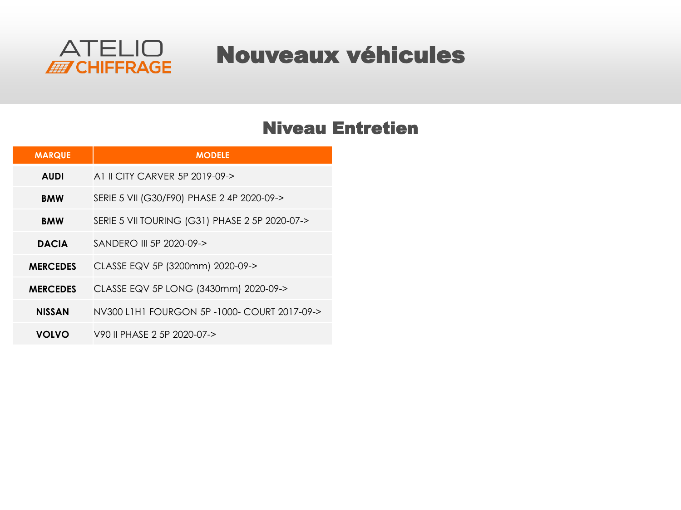

## Nouveaux véhicules

#### Niveau Entretien

| <b>MARQUE</b>   | <b>MODELE</b>                                  |
|-----------------|------------------------------------------------|
| <b>AUDI</b>     | A1 II CITY CARVER 5P 2019-09->                 |
| <b>BMW</b>      | SERIE 5 VII (G30/F90) PHASE 2 4P 2020-09->     |
| <b>BMW</b>      | SERIE 5 VII TOURING (G31) PHASE 2 5P 2020-07-> |
| <b>DACIA</b>    | SANDERO III 5P 2020-09->                       |
| <b>MERCEDES</b> | CLASSE EQV 5P (3200mm) 2020-09->               |
| <b>MERCEDES</b> | CLASSE EQV 5P LONG (3430mm) 2020-09->          |
| <b>NISSAN</b>   | NV300 L1H1 FOURGON 5P-1000- COURT 2017-09->    |
| <b>VOLVO</b>    | V90 II PHASE 2 5P 2020-07->                    |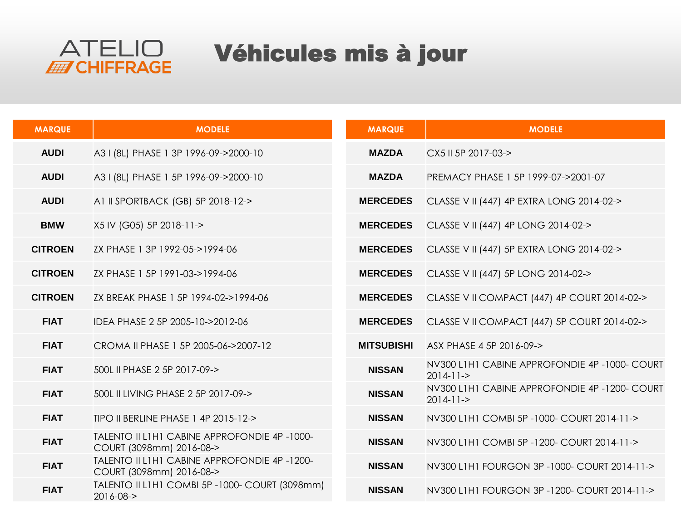

# Véhicules mis à jour

| <b>MARQUE</b>  | <b>MODELE</b>                                                           | <b>MARQUE</b>     | <b>MODELE</b>                                              |
|----------------|-------------------------------------------------------------------------|-------------------|------------------------------------------------------------|
| <b>AUDI</b>    | A3 I (8L) PHASE 1 3P 1996-09->2000-10                                   | <b>MAZDA</b>      | CX5 II 5P 2017-03->                                        |
| <b>AUDI</b>    | A3 I (8L) PHASE 1 5P 1996-09->2000-10                                   | <b>MAZDA</b>      | PREMACY PHASE 1 5P 1999-07->2001-07                        |
| <b>AUDI</b>    | A1 II SPORTBACK (GB) 5P 2018-12->                                       | <b>MERCEDES</b>   | CLASSE V II (447) 4P EXTRA LONG 2014-02->                  |
| <b>BMW</b>     | X5 IV (G05) 5P 2018-11->                                                | <b>MERCEDES</b>   | CLASSE V II (447) 4P LONG 2014-02->                        |
| <b>CITROEN</b> | ZX PHASE 1 3P 1992-05->1994-06                                          | <b>MERCEDES</b>   | CLASSE V II (447) 5P EXTRA LONG 2014-02->                  |
| <b>CITROEN</b> | ZX PHASE 1 5P 1991-03->1994-06                                          | <b>MERCEDES</b>   | CLASSE V II (447) 5P LONG 2014-02->                        |
| <b>CITROEN</b> | ZX BREAK PHASE 1 5P 1994-02->1994-06                                    | <b>MERCEDES</b>   | CLASSE V II COMPACT (447) 4P COURT 2014-02->               |
| <b>FIAT</b>    | IDEA PHASE 2 5P 2005-10->2012-06                                        | <b>MERCEDES</b>   | CLASSE V II COMPACT (447) 5P COURT 2014-02->               |
| <b>FIAT</b>    | CROMA II PHASE 1 5P 2005-06->2007-12                                    | <b>MITSUBISHI</b> | ASX PHASE 4 5P 2016-09->                                   |
| <b>FIAT</b>    | 500L II PHASE 2 5P 2017-09->                                            | <b>NISSAN</b>     | NV300 L1H1 CABINE APPROFONDIE 4P-1000- COURT<br>$2014-11-$ |
| <b>FIAT</b>    | 500L II LIVING PHASE 2 5P 2017-09->                                     | <b>NISSAN</b>     | NV300 L1H1 CABINE APPROFONDIE 4P-1200- COURT<br>$2014-11-$ |
| <b>FIAT</b>    | TIPO II BERLINE PHASE 1 4P 2015-12->                                    | <b>NISSAN</b>     | NV300 L1H1 COMBI 5P-1000- COURT 2014-11->                  |
| <b>FIAT</b>    | TALENTO II L1H1 CABINE APPROFONDIE 4P-1000-<br>COURT (3098mm) 2016-08-> | <b>NISSAN</b>     | NV300 L1H1 COMBI 5P-1200- COURT 2014-11->                  |
| <b>FIAT</b>    | TALENTO II L1H1 CABINE APPROFONDIE 4P-1200-<br>COURT (3098mm) 2016-08-> | <b>NISSAN</b>     | NV300 L1H1 FOURGON 3P-1000- COURT 2014-11->                |
| <b>FIAT</b>    | TALENTO II L1H1 COMBI 5P -1000- COURT (3098mm)<br>2016-08->             | <b>NISSAN</b>     | NV300 L1H1 FOURGON 3P-1200- COURT 2014-11->                |